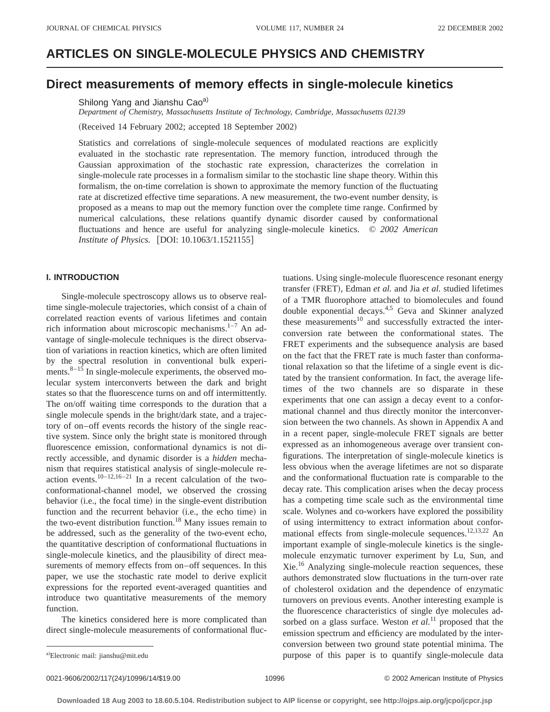# **ARTICLES ON SINGLE-MOLECULE PHYSICS AND CHEMISTRY**

# **Direct measurements of memory effects in single-molecule kinetics**

Shilong Yang and Jianshu Cao<sup>a)</sup>

*Department of Chemistry, Massachusetts Institute of Technology, Cambridge, Massachusetts 02139*

(Received 14 February 2002; accepted 18 September 2002)

Statistics and correlations of single-molecule sequences of modulated reactions are explicitly evaluated in the stochastic rate representation. The memory function, introduced through the Gaussian approximation of the stochastic rate expression, characterizes the correlation in single-molecule rate processes in a formalism similar to the stochastic line shape theory. Within this formalism, the on-time correlation is shown to approximate the memory function of the fluctuating rate at discretized effective time separations. A new measurement, the two-event number density, is proposed as a means to map out the memory function over the complete time range. Confirmed by numerical calculations, these relations quantify dynamic disorder caused by conformational fluctuations and hence are useful for analyzing single-molecule kinetics. © *2002 American Institute of Physics.* [DOI: 10.1063/1.1521155]

# **I. INTRODUCTION**

Single-molecule spectroscopy allows us to observe realtime single-molecule trajectories, which consist of a chain of correlated reaction events of various lifetimes and contain rich information about microscopic mechanisms. $1-7$  An advantage of single-molecule techniques is the direct observation of variations in reaction kinetics, which are often limited by the spectral resolution in conventional bulk experiments. $8-15$  In single-molecule experiments, the observed molecular system interconverts between the dark and bright states so that the fluorescence turns on and off intermittently. The on/off waiting time corresponds to the duration that a single molecule spends in the bright/dark state, and a trajectory of on–off events records the history of the single reactive system. Since only the bright state is monitored through fluorescence emission, conformational dynamics is not directly accessible, and dynamic disorder is a *hidden* mechanism that requires statistical analysis of single-molecule reaction events.<sup>10–12,16–21</sup> In a recent calculation of the twoconformational-channel model, we observed the crossing behavior (i.e., the focal time) in the single-event distribution function and the recurrent behavior (i.e., the echo time) in the two-event distribution function.<sup>18</sup> Many issues remain to be addressed, such as the generality of the two-event echo, the quantitative description of conformational fluctuations in single-molecule kinetics, and the plausibility of direct measurements of memory effects from on–off sequences. In this paper, we use the stochastic rate model to derive explicit expressions for the reported event-averaged quantities and introduce two quantitative measurements of the memory function.

The kinetics considered here is more complicated than direct single-molecule measurements of conformational fluc-

tuations. Using single-molecule fluorescence resonant energy transfer (FRET), Edman *et al.* and Jia *et al.* studied lifetimes of a TMR fluorophore attached to biomolecules and found double exponential decays.4,5 Geva and Skinner analyzed these measurements $10$  and successfully extracted the interconversion rate between the conformational states. The FRET experiments and the subsequence analysis are based on the fact that the FRET rate is much faster than conformational relaxation so that the lifetime of a single event is dictated by the transient conformation. In fact, the average lifetimes of the two channels are so disparate in these experiments that one can assign a decay event to a conformational channel and thus directly monitor the interconversion between the two channels. As shown in Appendix A and in a recent paper, single-molecule FRET signals are better expressed as an inhomogeneous average over transient configurations. The interpretation of single-molecule kinetics is less obvious when the average lifetimes are not so disparate and the conformational fluctuation rate is comparable to the decay rate. This complication arises when the decay process has a competing time scale such as the environmental time scale. Wolynes and co-workers have explored the possibility of using intermittency to extract information about conformational effects from single-molecule sequences.<sup>12,13,22</sup> An important example of single-molecule kinetics is the singlemolecule enzymatic turnover experiment by Lu, Sun, and Xie.16 Analyzing single-molecule reaction sequences, these authors demonstrated slow fluctuations in the turn-over rate of cholesterol oxidation and the dependence of enzymatic turnovers on previous events. Another interesting example is the fluorescence characteristics of single dye molecules adsorbed on a glass surface. Weston *et al.*<sup>11</sup> proposed that the emission spectrum and efficiency are modulated by the interconversion between two ground state potential minima. The purpose of this paper is to quantify single-molecule data

0021-9606/2002/117(24)/10996/14/\$19.00 10996 10996 C 2002 American Institute of Physics

Electronic mail: jianshu@mit.edu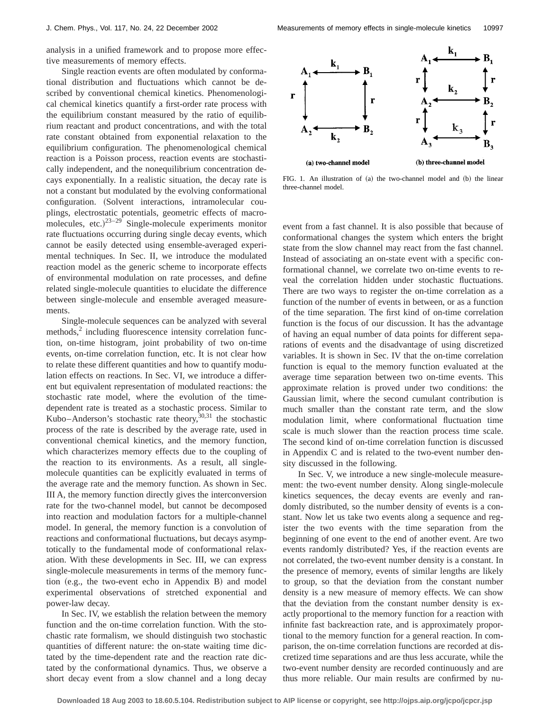analysis in a unified framework and to propose more effective measurements of memory effects.

Single reaction events are often modulated by conformational distribution and fluctuations which cannot be described by conventional chemical kinetics. Phenomenological chemical kinetics quantify a first-order rate process with the equilibrium constant measured by the ratio of equilibrium reactant and product concentrations, and with the total rate constant obtained from exponential relaxation to the equilibrium configuration. The phenomenological chemical reaction is a Poisson process, reaction events are stochastically independent, and the nonequilibrium concentration decays exponentially. In a realistic situation, the decay rate is not a constant but modulated by the evolving conformational configuration. (Solvent interactions, intramolecular couplings, electrostatic potentials, geometric effects of macromolecules, etc.) $23-29$  Single-molecule experiments monitor rate fluctuations occurring during single decay events, which cannot be easily detected using ensemble-averaged experimental techniques. In Sec. II, we introduce the modulated reaction model as the generic scheme to incorporate effects of environmental modulation on rate processes, and define related single-molecule quantities to elucidate the difference between single-molecule and ensemble averaged measurements.

Single-molecule sequences can be analyzed with several methods, $\frac{2}{3}$  including fluorescence intensity correlation function, on-time histogram, joint probability of two on-time events, on-time correlation function, etc. It is not clear how to relate these different quantities and how to quantify modulation effects on reactions. In Sec. VI, we introduce a different but equivalent representation of modulated reactions: the stochastic rate model, where the evolution of the timedependent rate is treated as a stochastic process. Similar to Kubo–Anderson's stochastic rate theory,  $30,31$  the stochastic process of the rate is described by the average rate, used in conventional chemical kinetics, and the memory function, which characterizes memory effects due to the coupling of the reaction to its environments. As a result, all singlemolecule quantities can be explicitly evaluated in terms of the average rate and the memory function. As shown in Sec. III A, the memory function directly gives the interconversion rate for the two-channel model, but cannot be decomposed into reaction and modulation factors for a multiple-channel model. In general, the memory function is a convolution of reactions and conformational fluctuations, but decays asymptotically to the fundamental mode of conformational relaxation. With these developments in Sec. III, we can express single-molecule measurements in terms of the memory function  $(e.g., the two-event echo in Appendix B)$  and model experimental observations of stretched exponential and power-law decay.

In Sec. IV, we establish the relation between the memory function and the on-time correlation function. With the stochastic rate formalism, we should distinguish two stochastic quantities of different nature: the on-state waiting time dictated by the time-dependent rate and the reaction rate dictated by the conformational dynamics. Thus, we observe a short decay event from a slow channel and a long decay



FIG. 1. An illustration of (a) the two-channel model and (b) the linear three-channel model.

event from a fast channel. It is also possible that because of conformational changes the system which enters the bright state from the slow channel may react from the fast channel. Instead of associating an on-state event with a specific conformational channel, we correlate two on-time events to reveal the correlation hidden under stochastic fluctuations. There are two ways to register the on-time correlation as a function of the number of events in between, or as a function of the time separation. The first kind of on-time correlation function is the focus of our discussion. It has the advantage of having an equal number of data points for different separations of events and the disadvantage of using discretized variables. It is shown in Sec. IV that the on-time correlation function is equal to the memory function evaluated at the average time separation between two on-time events. This approximate relation is proved under two conditions: the Gaussian limit, where the second cumulant contribution is much smaller than the constant rate term, and the slow modulation limit, where conformational fluctuation time scale is much slower than the reaction process time scale. The second kind of on-time correlation function is discussed in Appendix C and is related to the two-event number density discussed in the following.

In Sec. V, we introduce a new single-molecule measurement: the two-event number density. Along single-molecule kinetics sequences, the decay events are evenly and randomly distributed, so the number density of events is a constant. Now let us take two events along a sequence and register the two events with the time separation from the beginning of one event to the end of another event. Are two events randomly distributed? Yes, if the reaction events are not correlated, the two-event number density is a constant. In the presence of memory, events of similar lengths are likely to group, so that the deviation from the constant number density is a new measure of memory effects. We can show that the deviation from the constant number density is exactly proportional to the memory function for a reaction with infinite fast backreaction rate, and is approximately proportional to the memory function for a general reaction. In comparison, the on-time correlation functions are recorded at discretized time separations and are thus less accurate, while the two-event number density are recorded continuously and are thus more reliable. Our main results are confirmed by nu-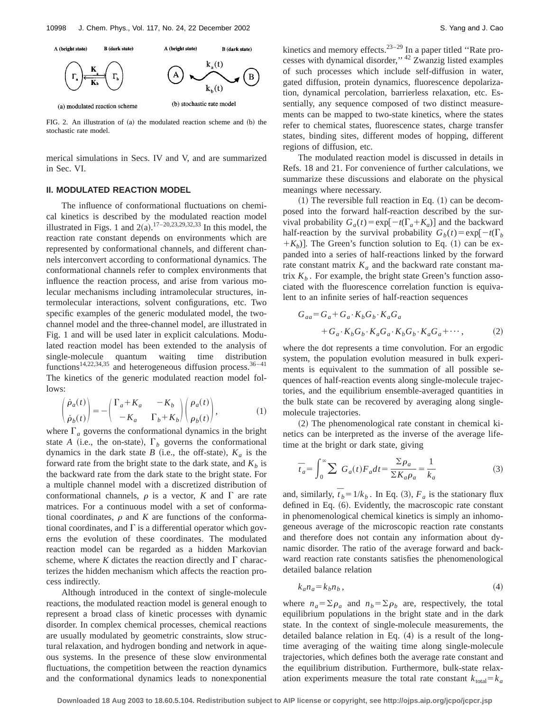

FIG. 2. An illustration of  $(a)$  the modulated reaction scheme and  $(b)$  the stochastic rate model.

merical simulations in Secs. IV and V, and are summarized in Sec. VI.

# **II. MODULATED REACTION MODEL**

The influence of conformational fluctuations on chemical kinetics is described by the modulated reaction model illustrated in Figs. 1 and  $2(a)$ .<sup>17–20,23,29,32,33</sup> In this model, the reaction rate constant depends on environments which are represented by conformational channels, and different channels interconvert according to conformational dynamics. The conformational channels refer to complex environments that influence the reaction process, and arise from various molecular mechanisms including intramolecular structures, intermolecular interactions, solvent configurations, etc. Two specific examples of the generic modulated model, the twochannel model and the three-channel model, are illustrated in Fig. 1 and will be used later in explicit calculations. Modulated reaction model has been extended to the analysis of single-molecule quantum waiting time distribution functions<sup>14,22,34,35</sup> and heterogeneous diffusion process.<sup>36-41</sup> The kinetics of the generic modulated reaction model follows:

$$
\begin{pmatrix} \dot{\rho}_a(t) \\ \dot{\rho}_b(t) \end{pmatrix} = - \begin{pmatrix} \Gamma_a + K_a & -K_b \\ -K_a & \Gamma_b + K_b \end{pmatrix} \begin{pmatrix} \rho_a(t) \\ \rho_b(t) \end{pmatrix},
$$
\n(1)

where  $\Gamma_a$  governs the conformational dynamics in the bright state *A* (i.e., the on-state),  $\Gamma_b$  governs the conformational dynamics in the dark state *B* (i.e., the off-state),  $K_a$  is the forward rate from the bright state to the dark state, and  $K_b$  is the backward rate from the dark state to the bright state. For a multiple channel model with a discretized distribution of conformational channels,  $\rho$  is a vector, *K* and  $\Gamma$  are rate matrices. For a continuous model with a set of conformational coordinates,  $\rho$  and  $K$  are functions of the conformational coordinates, and  $\Gamma$  is a differential operator which governs the evolution of these coordinates. The modulated reaction model can be regarded as a hidden Markovian scheme, where *K* dictates the reaction directly and  $\Gamma$  characterizes the hidden mechanism which affects the reaction process indirectly.

Although introduced in the context of single-molecule reactions, the modulated reaction model is general enough to represent a broad class of kinetic processes with dynamic disorder. In complex chemical processes, chemical reactions are usually modulated by geometric constraints, slow structural relaxation, and hydrogen bonding and network in aqueous systems. In the presence of these slow environmental fluctuations, the competition between the reaction dynamics and the conformational dynamics leads to nonexponential kinetics and memory effects. $2^{3-29}$  In a paper titled "Rate processes with dynamical disorder,'' <sup>42</sup> Zwanzig listed examples of such processes which include self-diffusion in water, gated diffusion, protein dynamics, fluorescence depolarization, dynamical percolation, barrierless relaxation, etc. Essentially, any sequence composed of two distinct measurements can be mapped to two-state kinetics, where the states refer to chemical states, fluorescence states, charge transfer states, binding sites, different modes of hopping, different regions of diffusion, etc.

The modulated reaction model is discussed in details in Refs. 18 and 21. For convenience of further calculations, we summarize these discussions and elaborate on the physical meanings where necessary.

 $(1)$  The reversible full reaction in Eq.  $(1)$  can be decomposed into the forward half-reaction described by the survival probability  $G_a(t) = \exp[-t(\Gamma_a + K_a)]$  and the backward half-reaction by the survival probability  $G_b(t) = \exp[-t(\Gamma_b)]$  $+K_b$ ]. The Green's function solution to Eq. (1) can be expanded into a series of half-reactions linked by the forward rate constant matrix  $K_a$  and the backward rate constant matrix  $K_b$ . For example, the bright state Green's function associated with the fluorescence correlation function is equivalent to an infinite series of half-reaction sequences

$$
G_{aa} = G_a + G_a \cdot K_b G_b \cdot K_a G_a
$$
  
+ 
$$
G_a \cdot K_b G_b \cdot K_a G_a \cdot K_b G_b \cdot K_a G_a + \cdots,
$$
 (2)

where the dot represents a time convolution. For an ergodic system, the population evolution measured in bulk experiments is equivalent to the summation of all possible sequences of half-reaction events along single-molecule trajectories, and the equilibrium ensemble-averaged quantities in the bulk state can be recovered by averaging along singlemolecule trajectories.

 $(2)$  The phenomenological rate constant in chemical kinetics can be interpreted as the inverse of the average lifetime at the bright or dark state, giving

$$
\overline{t}_a = \int_0^\infty \sum G_a(t) F_a dt = \frac{\sum \rho_a}{\sum K_a \rho_a} = \frac{1}{k_a}
$$
\n(3)

and, similarly,  $\bar{t}_b = 1/k_b$ . In Eq. (3),  $F_a$  is the stationary flux defined in Eq.  $(6)$ . Evidently, the macroscopic rate constant in phenomenological chemical kinetics is simply an inhomogeneous average of the microscopic reaction rate constants and therefore does not contain any information about dynamic disorder. The ratio of the average forward and backward reaction rate constants satisfies the phenomenological detailed balance relation

$$
k_a n_a = k_b n_b \,,\tag{4}
$$

where  $n_a = \sum \rho_a$  and  $n_b = \sum \rho_b$  are, respectively, the total equilibrium populations in the bright state and in the dark state. In the context of single-molecule measurements, the detailed balance relation in Eq.  $(4)$  is a result of the longtime averaging of the waiting time along single-molecule trajectories, which defines both the average rate constant and the equilibrium distribution. Furthermore, bulk-state relaxation experiments measure the total rate constant  $k_{\text{total}} = k_a$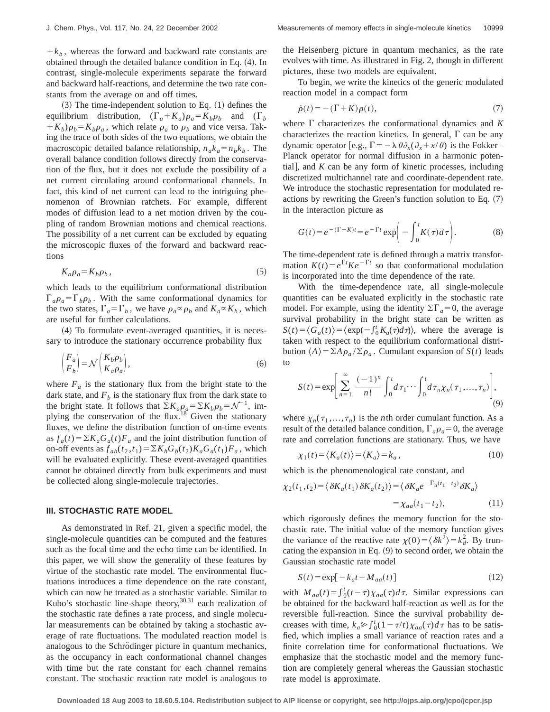$+k<sub>b</sub>$ , whereas the forward and backward rate constants are obtained through the detailed balance condition in Eq. (4). In contrast, single-molecule experiments separate the forward and backward half-reactions, and determine the two rate constants from the average on and off times.

 $(3)$  The time-independent solution to Eq.  $(1)$  defines the equilibrium distribution,  $(\Gamma_a + K_a)\rho_a = K_b \rho_b$  and  $(\Gamma_b$  $(K_b)\rho_b = K_b\rho_a$ , which relate  $\rho_a$  to  $\rho_b$  and vice versa. Taking the trace of both sides of the two equations, we obtain the macroscopic detailed balance relationship,  $n_a k_a = n_b k_b$ . The overall balance condition follows directly from the conservation of the flux, but it does not exclude the possibility of a net current circulating around conformational channels. In fact, this kind of net current can lead to the intriguing phenomenon of Brownian ratchets. For example, different modes of diffusion lead to a net motion driven by the coupling of random Brownian motions and chemical reactions. The possibility of a net current can be excluded by equating the microscopic fluxes of the forward and backward reactions

$$
K_a \rho_a = K_b \rho_b \,,\tag{5}
$$

which leads to the equilibrium conformational distribution  $\Gamma_a \rho_a = \Gamma_b \rho_b$ . With the same conformational dynamics for the two states,  $\Gamma_a = \Gamma_b$ , we have  $\rho_a \propto \rho_b$  and  $K_a \propto K_b$ , which are useful for further calculations.

 $(4)$  To formulate event-averaged quantities, it is necessary to introduce the stationary occurrence probability flux

$$
\begin{pmatrix} F_a \\ F_b \end{pmatrix} = \mathcal{N} \begin{pmatrix} K_b \rho_b \\ K_a \rho_a \end{pmatrix},\tag{6}
$$

where  $F_a$  is the stationary flux from the bright state to the dark state, and  $F_b$  is the stationary flux from the dark state to the bright state. It follows that  $\Sigma K_a \rho_a = \Sigma K_b \rho_b = \mathcal{N}^{-1}$ , implying the conservation of the flux.<sup>18</sup> Given the stationary fluxes, we define the distribution function of on-time events as  $f_a(t) = \sum K_a G_a(t) F_a$  and the joint distribution function of on-off events as  $f_{ab}(t_2, t_1) = \sum K_b G_b(t_2) K_a G_a(t_1) F_a$ , which will be evaluated explicitly. These event-averaged quantities cannot be obtained directly from bulk experiments and must be collected along single-molecule trajectories.

## **III. STOCHASTIC RATE MODEL**

As demonstrated in Ref. 21, given a specific model, the single-molecule quantities can be computed and the features such as the focal time and the echo time can be identified. In this paper, we will show the generality of these features by virtue of the stochastic rate model. The environmental fluctuations introduces a time dependence on the rate constant, which can now be treated as a stochastic variable. Similar to Kubo's stochastic line-shape theory, $30,31$  each realization of the stochastic rate defines a rate process, and single molecular measurements can be obtained by taking a stochastic average of rate fluctuations. The modulated reaction model is analogous to the Schrödinger picture in quantum mechanics, as the occupancy in each conformational channel changes with time but the rate constant for each channel remains constant. The stochastic reaction rate model is analogous to the Heisenberg picture in quantum mechanics, as the rate evolves with time. As illustrated in Fig. 2, though in different pictures, these two models are equivalent.

To begin, we write the kinetics of the generic modulated reaction model in a compact form

$$
\dot{\rho}(t) = -(\Gamma + K)\rho(t),\tag{7}
$$

where  $\Gamma$  characterizes the conformational dynamics and  $K$ characterizes the reaction kinetics. In general,  $\Gamma$  can be any dynamic operator [e.g.,  $\Gamma = -\lambda \theta \partial_x(\partial_x + x/\theta)$  is the Fokker– Planck operator for normal diffusion in a harmonic potential], and  $K$  can be any form of kinetic processes, including discretized multichannel rate and coordinate-dependent rate. We introduce the stochastic representation for modulated reactions by rewriting the Green's function solution to Eq.  $(7)$ in the interaction picture as

$$
G(t) = e^{-(\Gamma + K)t} = e^{-\Gamma t} \exp\left(-\int_0^t K(\tau) d\tau\right).
$$
 (8)

The time-dependent rate is defined through a matrix transformation  $K(t) = e^{\Gamma t} K e^{-\Gamma t}$  so that conformational modulation is incorporated into the time dependence of the rate.

With the time-dependence rate, all single-molecule quantities can be evaluated explicitly in the stochastic rate model. For example, using the identity  $\Sigma\Gamma_a=0$ , the average survival probability in the bright state can be written as  $S(t) = \langle G_a(t) \rangle = \langle \exp(-\int_0^t K_a(\tau) d\tau) \rangle$ , where the average is taken with respect to the equilibrium conformational distribution  $\langle A \rangle = \sum A \rho_a / \sum \rho_a$ . Cumulant expansion of *S*(*t*) leads to

$$
S(t) = \exp\left[\sum_{n=1}^{\infty} \frac{(-1)^n}{n!} \int_0^t d\tau_1 \cdots \int_0^t d\tau_n \chi_n(\tau_1, ..., \tau_n)\right],
$$
\n(9)

where  $\chi_n(\tau_1, \ldots, \tau_n)$  is the *n*th order cumulant function. As a result of the detailed balance condition,  $\Gamma_a \rho_a = 0$ , the average rate and correlation functions are stationary. Thus, we have

$$
\chi_1(t) = \langle K_a(t) \rangle = \langle K_a \rangle = k_a, \tag{10}
$$

which is the phenomenological rate constant, and

$$
\chi_2(t_1, t_2) = \langle \delta K_a(t_1) \delta K_a(t_2) \rangle = \langle \delta K_a e^{-\Gamma_a(t_1 - t_2)} \delta K_a \rangle
$$
  
=  $\chi_{aa}(t_1 - t_2)$ , (11)

which rigorously defines the memory function for the stochastic rate. The initial value of the memory function gives the variance of the reactive rate  $\chi(0) = \langle \delta k^2 \rangle = k_d^2$ . By truncating the expansion in Eq.  $(9)$  to second order, we obtain the Gaussian stochastic rate model

$$
S(t) = \exp[-k_a t + M_{aa}(t)]
$$
\n(12)

with  $M_{aa}(t) = \int_0^t (t-\tau) \chi_{aa}(\tau) d\tau$ . Similar expressions can be obtained for the backward half-reaction as well as for the reversible full-reaction. Since the survival probability decreases with time,  $k_a \geq \int_0^t (1 - \tau/t) \chi_{aa}(\tau) d\tau$  has to be satisfied, which implies a small variance of reaction rates and a finite correlation time for conformational fluctuations. We emphasize that the stochastic model and the memory function are completely general whereas the Gaussian stochastic rate model is approximate.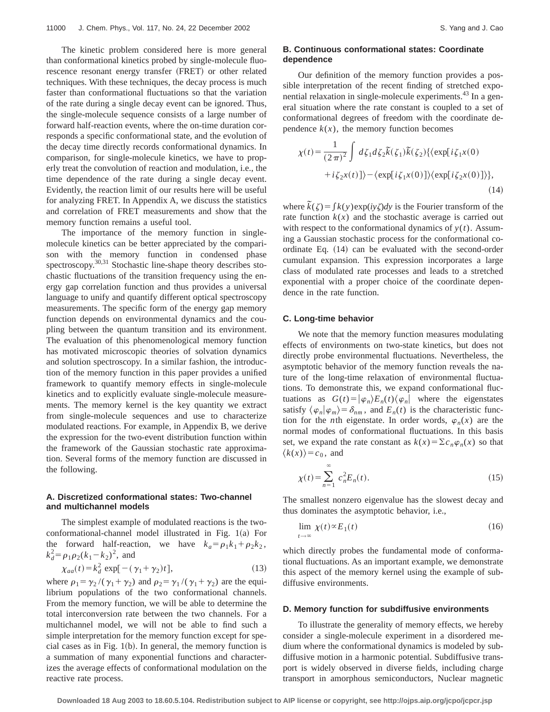The kinetic problem considered here is more general than conformational kinetics probed by single-molecule fluorescence resonant energy transfer (FRET) or other related techniques. With these techniques, the decay process is much faster than conformational fluctuations so that the variation of the rate during a single decay event can be ignored. Thus, the single-molecule sequence consists of a large number of forward half-reaction events, where the on-time duration corresponds a specific conformational state, and the evolution of the decay time directly records conformational dynamics. In comparison, for single-molecule kinetics, we have to properly treat the convolution of reaction and modulation, i.e., the time dependence of the rate during a single decay event. Evidently, the reaction limit of our results here will be useful for analyzing FRET. In Appendix A, we discuss the statistics and correlation of FRET measurements and show that the memory function remains a useful tool.

The importance of the memory function in singlemolecule kinetics can be better appreciated by the comparison with the memory function in condensed phase spectroscopy.<sup>30,31</sup> Stochastic line-shape theory describes stochastic fluctuations of the transition frequency using the energy gap correlation function and thus provides a universal language to unify and quantify different optical spectroscopy measurements. The specific form of the energy gap memory function depends on environmental dynamics and the coupling between the quantum transition and its environment. The evaluation of this phenomenological memory function has motivated microscopic theories of solvation dynamics and solution spectroscopy. In a similar fashion, the introduction of the memory function in this paper provides a unified framework to quantify memory effects in single-molecule kinetics and to explicitly evaluate single-molecule measurements. The memory kernel is the key quantity we extract from single-molecule sequences and use to characterize modulated reactions. For example, in Appendix B, we derive the expression for the two-event distribution function within the framework of the Gaussian stochastic rate approximation. Several forms of the memory function are discussed in the following.

# **A. Discretized conformational states: Two-channel and multichannel models**

The simplest example of modulated reactions is the two $conformational-channel model$  illustrated in Fig.  $1(a)$  For the forward half-reaction, we have  $k_a = \rho_1 k_1 + \rho_2 k_2$ ,  $k_d^2 = \rho_1 \rho_2 (k_1 - k_2)^2$ , and

$$
\chi_{aa}(t) = k_d^2 \exp[-(\gamma_1 + \gamma_2)t],\tag{13}
$$

where  $\rho_1 = \gamma_2 / (\gamma_1 + \gamma_2)$  and  $\rho_2 = \gamma_1 / (\gamma_1 + \gamma_2)$  are the equilibrium populations of the two conformational channels. From the memory function, we will be able to determine the total interconversion rate between the two channels. For a multichannel model, we will not be able to find such a simple interpretation for the memory function except for special cases as in Fig.  $1(b)$ . In general, the memory function is a summation of many exponential functions and characterizes the average effects of conformational modulation on the reactive rate process.

# **B. Continuous conformational states: Coordinate dependence**

Our definition of the memory function provides a possible interpretation of the recent finding of stretched exponential relaxation in single-molecule experiments.<sup>43</sup> In a general situation where the rate constant is coupled to a set of conformational degrees of freedom with the coordinate dependence  $k(x)$ , the memory function becomes

$$
\chi(t) = \frac{1}{(2\pi)^2} \int d\zeta_1 d\zeta_2 \widetilde{k}(\zeta_1) \widetilde{k}(\zeta_2) \{ \exp[i\zeta_1 x(0) + i\zeta_2 x(t)] \} - \langle \exp[i\zeta_1 x(0)] \rangle \{ \exp[i\zeta_2 x(0)] \} \},
$$
\n(14)

where  $\tilde{k}(\zeta) = \int k(y) \exp(i y \zeta) dy$  is the Fourier transform of the rate function  $k(x)$  and the stochastic average is carried out with respect to the conformational dynamics of  $y(t)$ . Assuming a Gaussian stochastic process for the conformational coordinate Eq.  $(14)$  can be evaluated with the second-order cumulant expansion. This expression incorporates a large class of modulated rate processes and leads to a stretched exponential with a proper choice of the coordinate dependence in the rate function.

## **C. Long-time behavior**

We note that the memory function measures modulating effects of environments on two-state kinetics, but does not directly probe environmental fluctuations. Nevertheless, the asymptotic behavior of the memory function reveals the nature of the long-time relaxation of environmental fluctuations. To demonstrate this, we expand conformational fluctuations as  $G(t) = |\varphi_n\rangle E_n(t) \langle \varphi_n|$  where the eigenstates satisfy  $\langle \varphi_n | \varphi_m \rangle = \delta_{nm}$ , and  $E_n(t)$  is the characteristic function for the *n*th eigenstate. In order words,  $\varphi_n(x)$  are the normal modes of conformational fluctuations. In this basis set, we expand the rate constant as  $k(x) = \sum c_n \varphi_n(x)$  so that  $\langle k(x) \rangle = c_0$ , and

$$
\chi(t) = \sum_{n=1}^{\infty} c_n^2 E_n(t).
$$
 (15)

The smallest nonzero eigenvalue has the slowest decay and thus dominates the asymptotic behavior, i.e.,

$$
\lim_{t \to \infty} \chi(t) \propto E_1(t) \tag{16}
$$

which directly probes the fundamental mode of conformational fluctuations. As an important example, we demonstrate this aspect of the memory kernel using the example of subdiffusive environments.

#### **D. Memory function for subdiffusive environments**

To illustrate the generality of memory effects, we hereby consider a single-molecule experiment in a disordered medium where the conformational dynamics is modeled by subdiffusive motion in a harmonic potential. Subdiffusive transport is widely observed in diverse fields, including charge transport in amorphous semiconductors, Nuclear magnetic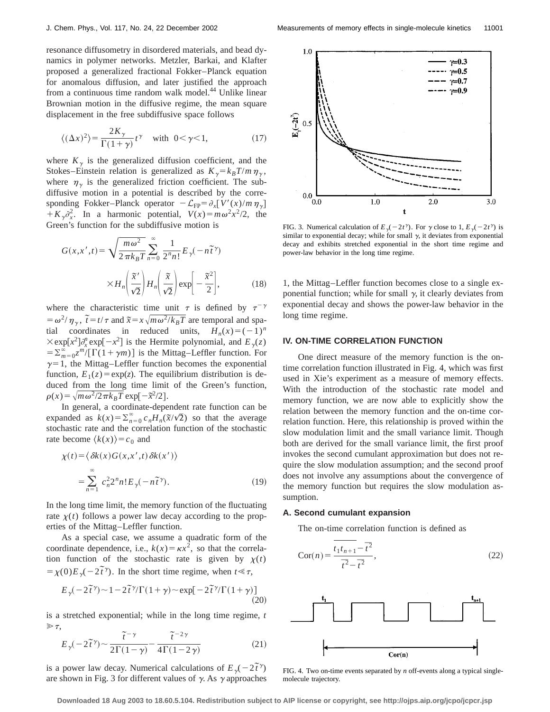resonance diffusometry in disordered materials, and bead dynamics in polymer networks. Metzler, Barkai, and Klafter proposed a generalized fractional Fokker–Planck equation for anomalous diffusion, and later justified the approach from a continuous time random walk model.<sup>44</sup> Unlike linear Brownian motion in the diffusive regime, the mean square displacement in the free subdiffusive space follows

$$
\langle (\Delta x)^2 \rangle = \frac{2K_\gamma}{\Gamma(1+\gamma)} t^\gamma \quad \text{with } 0 < \gamma < 1,\tag{17}
$$

where  $K_{\gamma}$  is the generalized diffusion coefficient, and the Stokes–Einstein relation is generalized as  $K_{\gamma} = k_B T/m \eta_{\gamma}$ , where  $\eta_{\gamma}$  is the generalized friction coefficient. The subdiffusive motion in a potential is described by the corresponding Fokker–Planck operator  $-\mathcal{L}_{FP} = \partial_x[V'(x)/m\eta_y]$  $+ K_{\gamma} \partial_{x}^{2}$ . In a harmonic potential,  $V(x) = m \omega^{2} x^{2}/2$ , the Green's function for the subdiffusive motion is

$$
G(x, x', t) = \sqrt{\frac{m\omega^2}{2\pi k_B T}} \sum_{n=0}^{\infty} \frac{1}{2^n n!} E_{\gamma}(-n\tilde{t}^{\gamma})
$$

$$
\times H_n\left(\frac{\tilde{x}'}{\sqrt{2}}\right) H_n\left(\frac{\tilde{x}}{\sqrt{2}}\right) \exp\left[-\frac{\tilde{x}^2}{2}\right],\tag{18}
$$

where the characteristic time unit  $\tau$  is defined by  $\tau^{-\gamma}$  $= \omega^2/\eta_\gamma$ ,  $\tilde{t} = t/\tau$  and  $\tilde{x} = x\sqrt{m\omega^2/k_BT}$  are temporal and spatial coordinates in reduced units,  $H_n(x) = (-1)^n$  $\times$ exp[x<sup>2</sup>] $\partial_x^{\eta}$  exp[ $-x^2$ ] is the Hermite polynomial, and  $E_{\gamma}(z)$  $= \sum_{m=0}^{\infty} \frac{z^m}{\Gamma(1+\gamma m)}$  is the Mittag–Leffler function. For  $\gamma=1$ , the Mittag–Leffler function becomes the exponential function,  $E_1(z) = \exp(z)$ . The equilibrium distribution is deduced from the long time limit of the Green's function,  $\rho(x) = \sqrt{m \omega^2/2 \pi k_B T} \exp[-\tilde{x}^2/2].$ 

In general, a coordinate-dependent rate function can be expanded as  $k(x) = \sum_{n=0}^{\infty} c_n H_n(\tilde{x}/\sqrt{2})$  so that the average stochastic rate and the correlation function of the stochastic rate become  $\langle k(x) \rangle = c_0$  and

$$
\chi(t) = \langle \delta k(x) G(x, x', t) \delta k(x') \rangle
$$
  
= 
$$
\sum_{n=1}^{\infty} c_n^2 2^n n! E_{\gamma}(-n\tilde{t}^{\gamma}).
$$
 (19)

In the long time limit, the memory function of the fluctuating rate  $\chi(t)$  follows a power law decay according to the properties of the Mittag–Leffler function.

As a special case, we assume a quadratic form of the coordinate dependence, i.e.,  $k(x) = \kappa x^2$ , so that the correlation function of the stochastic rate is given by  $\chi(t)$  $= \chi(0)E_{\gamma}(-2\tilde{t}^{\gamma})$ . In the short time regime, when  $t \leq \tau$ ,

$$
E_{\gamma}(-2\tilde{t}^{\gamma}) \sim 1 - 2\tilde{t}^{\gamma}/\Gamma(1+\gamma) \sim \exp[-2\tilde{t}^{\gamma}/\Gamma(1+\gamma)] \tag{20}
$$

is a stretched exponential; while in the long time regime, *t*  $\gg \tau$ ,

$$
\sum_{\tilde{t}} \tilde{t}(\tilde{t}) - \frac{\tilde{t}(\tilde{t})}{2\Gamma(1-\gamma)} - \frac{\tilde{t}(\tilde{t})}{4\Gamma(1-\gamma)} \tag{21}
$$

is a power law decay. Numerical calculations of  $E_{\gamma}(-2\tilde{t}^{\gamma})$ are shown in Fig. 3 for different values of  $\gamma$ . As  $\gamma$  approaches



FIG. 3. Numerical calculation of  $E_{\gamma}(-2t^{\gamma})$ . For  $\gamma$  close to 1,  $E_{\gamma}(-2t^{\gamma})$  is similar to exponential decay; while for small  $\gamma$ , it deviates from exponential decay and exhibits stretched exponential in the short time regime and power-law behavior in the long time regime.

1, the Mittag–Leffler function becomes close to a single exponential function; while for small  $\gamma$ , it clearly deviates from exponential decay and shows the power-law behavior in the long time regime.

## **IV. ON-TIME CORRELATION FUNCTION**

One direct measure of the memory function is the ontime correlation function illustrated in Fig. 4, which was first used in Xie's experiment as a measure of memory effects. With the introduction of the stochastic rate model and memory function, we are now able to explicitly show the relation between the memory function and the on-time correlation function. Here, this relationship is proved within the slow modulation limit and the small variance limit. Though both are derived for the small variance limit, the first proof invokes the second cumulant approximation but does not require the slow modulation assumption; and the second proof does not involve any assumptions about the convergence of the memory function but requires the slow modulation assumption.

#### **A. Second cumulant expansion**

The on-time correlation function is defined as

$$
Cor(n) = \frac{\overline{t_1 t_{n+1} - \overline{t}^2}}{\overline{t^2} - \overline{t}^2},
$$
\n(22)



FIG. 4. Two on-time events separated by *n* off-events along a typical singlemolecule trajectory.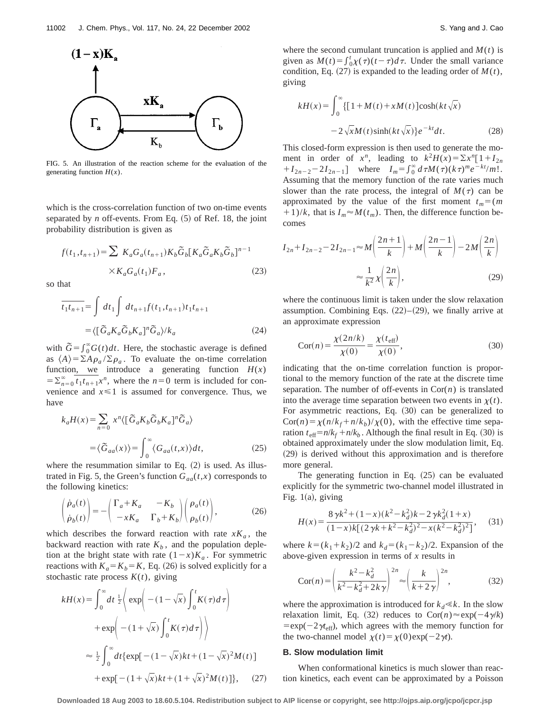

FIG. 5. An illustration of the reaction scheme for the evaluation of the generating function  $H(x)$ .

which is the cross-correlation function of two on-time events separated by  $n$  off-events. From Eq.  $(5)$  of Ref. 18, the joint probability distribution is given as

$$
f(t_1, t_{n+1}) = \sum K_a G_a(t_{n+1}) K_b \tilde{G}_b [K_a \tilde{G}_a K_b \tilde{G}_b]^{n-1}
$$
  
 
$$
\times K_a G_a(t_1) F_a,
$$
 (23)

so that

$$
\overline{t_1 t_{n+1}} = \int dt_1 \int dt_{n+1} f(t_1, t_{n+1}) t_1 t_{n+1}
$$

$$
= \langle [\tilde{G}_a K_a \tilde{G}_b K_a]^n \tilde{G}_a \rangle / k_a \tag{24}
$$

with  $\tilde{G} = \int_0^\infty G(t) dt$ . Here, the stochastic average is defined as  $\langle A \rangle = \sum A \rho_a / \sum \rho_a$ . To evaluate the on-time correlation function, we introduce a generating function  $H(x)$  $=\sum_{n=0}^{\infty} t_1 t_{n+1} x^n$ , where the  $n=0$  term is included for convenience and  $x \leq 1$  is assumed for convergence. Thus, we have

$$
k_a H(x) = \sum_{n=0} x^n \langle [\tilde{G}_a K_b \tilde{G}_b K_a]^n \tilde{G}_a \rangle
$$
  

$$
= \langle \tilde{G}_{aa}(x) \rangle = \int_0^\infty \langle G_{aa}(t, x) \rangle dt,
$$
 (25)

where the resummation similar to Eq.  $(2)$  is used. As illustrated in Fig. 5, the Green's function  $G_{aa}(t,x)$  corresponds to the following kinetics:

$$
\begin{pmatrix} \dot{\rho}_a(t) \\ \dot{\rho}_b(t) \end{pmatrix} = - \begin{pmatrix} \Gamma_a + K_a & -K_b \\ -xK_a & \Gamma_b + K_b \end{pmatrix} \begin{pmatrix} \rho_a(t) \\ \rho_b(t) \end{pmatrix},
$$
\n(26)

which describes the forward reaction with rate  $xK_a$ , the backward reaction with rate  $K_b$ , and the population depletion at the bright state with rate  $(1-x)K_a$ . For symmetric reactions with  $K_a = K_b = K$ , Eq. (26) is solved explicitly for a stochastic rate process  $K(t)$ , giving

$$
kH(x) = \int_0^\infty dt \frac{1}{2} \left\{ \exp\left( -(1 - \sqrt{x}) \int_0^t K(\tau) d\tau \right) + \exp\left( -(1 + \sqrt{x}) \int_0^t K(\tau) d\tau \right) \right\}
$$

$$
= \frac{1}{2} \int_0^\infty dt \{ \exp[-(1 - \sqrt{x})kt + (1 - \sqrt{x})^2 M(t)]
$$

$$
+ \exp[-(1 + \sqrt{x})kt + (1 + \sqrt{x})^2 M(t)] \}, \quad (27)
$$

where the second cumulant truncation is applied and  $M(t)$  is given as  $M(t) = \int_0^t \chi(\tau)(t-\tau)d\tau$ . Under the small variance condition, Eq.  $(27)$  is expanded to the leading order of  $M(t)$ , giving

$$
kH(x) = \int_0^\infty \{ [1 + M(t) + xM(t)] \cosh(kt\sqrt{x}) - 2\sqrt{x}M(t)\sinh(kt\sqrt{x})\} e^{-kt} dt.
$$
 (28)

This closed-form expression is then used to generate the moment in order of  $x^n$ , leading to  $k^2H(x) = \sum x^n [1 + I_{2n}]$  $+I_{2n-2}-2I_{2n-1}$ ] where  $I_m = \int_0^\infty d\tau M(\tau)(k\tau)^m e^{-kt}m!$ . Assuming that the memory function of the rate varies much slower than the rate process, the integral of  $M(\tau)$  can be approximated by the value of the first moment  $t_m = (m \cdot n)$  $(11)/k$ , that is  $I_m \approx M(t_m)$ . Then, the difference function becomes

$$
I_{2n} + I_{2n-2} - 2I_{2n-1} \approx M\left(\frac{2n+1}{k}\right) + M\left(\frac{2n-1}{k}\right) - 2M\left(\frac{2n}{k}\right)
$$

$$
\approx \frac{1}{k^2} \chi\left(\frac{2n}{k}\right),\tag{29}
$$

where the continuous limit is taken under the slow relaxation assumption. Combining Eqs.  $(22)$ – $(29)$ , we finally arrive at an approximate expression

$$
Cor(n) = \frac{\chi(2n/k)}{\chi(0)} = \frac{\chi(t_{\text{eff}})}{\chi(0)},
$$
\n(30)

indicating that the on-time correlation function is proportional to the memory function of the rate at the discrete time separation. The number of off-events in  $Cor(n)$  is translated into the average time separation between two events in  $\chi(t)$ . For asymmetric reactions, Eq.  $(30)$  can be generalized to  $Cor(n) = \chi(n/k_f + n/k_b)/\chi(0)$ , with the effective time separation  $t_{\text{eff}} = n/k_f + n/k_b$ . Although the final result in Eq. (30) is obtained approximately under the slow modulation limit, Eq.  $(29)$  is derived without this approximation and is therefore more general.

The generating function in Eq.  $(25)$  can be evaluated explicitly for the symmetric two-channel model illustrated in Fig.  $1(a)$ , giving

$$
H(x) = \frac{8\,\gamma k^2 + (1-x)(k^2 - k_d^2)k - 2\,\gamma k_d^2 (1+x)}{(1-x)k[(2\,\gamma k + k^2 - k_d^2)^2 - x(k^2 - k_d^2)^2]},\tag{31}
$$

where  $k = (k_1 + k_2)/2$  and  $k_d = (k_1 - k_2)/2$ . Expansion of the above-given expression in terms of *x* results in

$$
\operatorname{Cor}(n) = \left(\frac{k^2 - k_d^2}{k^2 - k_d^2 + 2k\gamma}\right)^{2n} \approx \left(\frac{k}{k + 2\gamma}\right)^{2n},\tag{32}
$$

where the approximation is introduced for  $k_d \ll k$ . In the slow relaxation limit, Eq. (32) reduces to  $Cor(n) \approx \exp(-4\gamma/k)$  $=exp(-2\gamma t_{\text{eff}})$ , which agrees with the memory function for the two-channel model  $\chi(t) = \chi(0) \exp(-2\gamma t)$ .

# **B. Slow modulation limit**

When conformational kinetics is much slower than reaction kinetics, each event can be approximated by a Poisson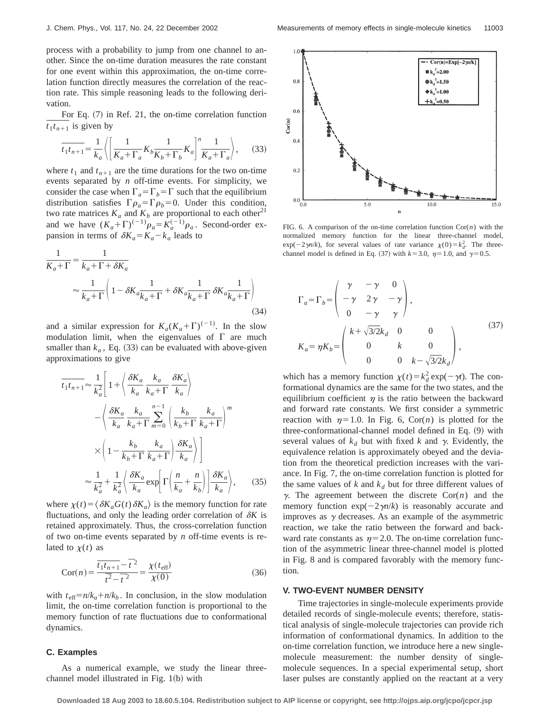process with a probability to jump from one channel to another. Since the on-time duration measures the rate constant for one event within this approximation, the on-time correlation function directly measures the correlation of the reaction rate. This simple reasoning leads to the following derivation.

For Eq.  $(7)$  in Ref. 21, the on-time correlation function  $t_1 t_{n+1}$  is given by

$$
\overline{t_1 t_{n+1}} = \frac{1}{k_a} \left\langle \left[ \frac{1}{K_a + \Gamma_a} K_b \frac{1}{K_b + \Gamma_b} K_a \right]^n \frac{1}{K_a + \Gamma_a} \right\rangle, \tag{33}
$$

where  $t_1$  and  $t_{n+1}$  are the time durations for the two on-time events separated by *n* off-time events. For simplicity, we consider the case when  $\Gamma_a = \Gamma_b = \Gamma$  such that the equilibrium distribution satisfies  $\Gamma \rho_a = \Gamma \rho_b = 0$ . Under this condition, two rate matrices  $K_a$  and  $K_b$  are proportional to each other<sup>21</sup> and we have  $(K_a + \Gamma)^{(-1)}\rho_a = K_a^{(-1)}\rho_a$ . Second-order expansion in terms of  $\delta K_a = K_a - k_a$  leads to

$$
\frac{1}{K_a + \Gamma} = \frac{1}{k_a + \Gamma + \delta K_a}
$$
\n
$$
\approx \frac{1}{k_a + \Gamma} \left( 1 - \delta K_a \frac{1}{k_a + \Gamma} + \delta K_a \frac{1}{k_a + \Gamma} \delta K_a \frac{1}{k_a + \Gamma} \right)
$$
\n(34)

and a similar expression for  $K_a(K_a+\Gamma)^{(-1)}$ . In the slow modulation limit, when the eigenvalues of  $\Gamma$  are much smaller than  $k_a$ , Eq.  $(33)$  can be evaluated with above-given approximations to give

$$
\overline{t_1 t_{n+1}} \approx \frac{1}{k_a^2} \left[ 1 + \left\langle \frac{\delta K_a}{k_a} \frac{k_a}{k_a + \Gamma} \frac{\delta K_a}{k_a} \right\rangle \right]
$$

$$
- \left\langle \frac{\delta K_a}{k_a} \frac{k_a}{k_a + \Gamma} \sum_{m=0}^{n-1} \left( \frac{k_b}{k_b + \Gamma} \frac{k_a}{k_a + \Gamma} \right)^m \right.
$$

$$
\times \left( 1 - \frac{k_b}{k_b + \Gamma} \frac{k_a}{k_a + \Gamma} \right) \frac{\delta K_a}{k_a} \right) \right]
$$

$$
\approx \frac{1}{k_a^2} + \frac{1}{k_a^2} \left\langle \frac{\delta K_a}{k_a} \exp\left[ \Gamma \left( \frac{n}{k_a} + \frac{n}{k_b} \right) \right] \frac{\delta K_a}{k_a} \right\rangle, \tag{35}
$$

where  $\chi(t) = \langle \delta K_a G(t) \delta K_a \rangle$  is the memory function for rate fluctuations, and only the leading order correlation of  $\delta K$  is retained approximately. Thus, the cross-correlation function of two on-time events separated by *n* off-time events is related to  $\chi(t)$  as

$$
Cor(n) = \frac{\overline{t_1 t_{n+1}} - \overline{t}^2}{\overline{t^2} - \overline{t}^2} = \frac{\chi(t_{\text{eff}})}{\chi(0)}
$$
(36)

with  $t_{\text{eff}} = n/k_a + n/k_b$ . In conclusion, in the slow modulation limit, the on-time correlation function is proportional to the memory function of rate fluctuations due to conformational dynamics.

## **C. Examples**

As a numerical example, we study the linear threechannel model illustrated in Fig.  $1(b)$  with



FIG. 6. A comparison of the on-time correlation function Cor(*n*) with the normalized memory function for the linear three-channel model,  $\exp(-2\gamma n/k)$ , for several values of rate variance  $\chi(0) = k_d^2$ . The threechannel model is defined in Eq. (37) with  $k=3.0$ ,  $\eta=1.0$ , and  $\gamma=0.5$ .

$$
\Gamma_a = \Gamma_b = \begin{pmatrix} \gamma & -\gamma & 0 \\ -\gamma & 2\gamma & -\gamma \\ 0 & -\gamma & \gamma \end{pmatrix},
$$
  
\n
$$
K_a = \eta K_b = \begin{pmatrix} k + \sqrt{3/2}k_d & 0 & 0 \\ 0 & k & 0 \\ 0 & 0 & k - \sqrt{3/2}k_d \end{pmatrix},
$$
\n(37)

which has a memory function  $\chi(t) = k_d^2 \exp(-\gamma t)$ . The conformational dynamics are the same for the two states, and the equilibrium coefficient  $\eta$  is the ratio between the backward and forward rate constants. We first consider a symmetric reaction with  $\eta=1.0$ . In Fig. 6, Cor(*n*) is plotted for the three-conformational-channel model defined in Eq.  $(9)$  with several values of  $k_d$  but with fixed k and  $\gamma$ . Evidently, the equivalence relation is approximately obeyed and the deviation from the theoretical prediction increases with the variance. In Fig. 7, the on-time correlation function is plotted for the same values of  $k$  and  $k_d$  but for three different values of  $\gamma$ . The agreement between the discrete Cor $(n)$  and the memory function  $exp(-2\gamma n/k)$  is reasonably accurate and improves as  $\gamma$  decreases. As an example of the asymmetric reaction, we take the ratio between the forward and backward rate constants as  $\eta=2.0$ . The on-time correlation function of the asymmetric linear three-channel model is plotted in Fig. 8 and is compared favorably with the memory function.

## **V. TWO-EVENT NUMBER DENSITY**

Time trajectories in single-molecule experiments provide detailed records of single-molecule events; therefore, statistical analysis of single-molecule trajectories can provide rich information of conformational dynamics. In addition to the on-time correlation function, we introduce here a new singlemolecule measurement: the number density of singlemolecule sequences. In a special experimental setup, short laser pulses are constantly applied on the reactant at a very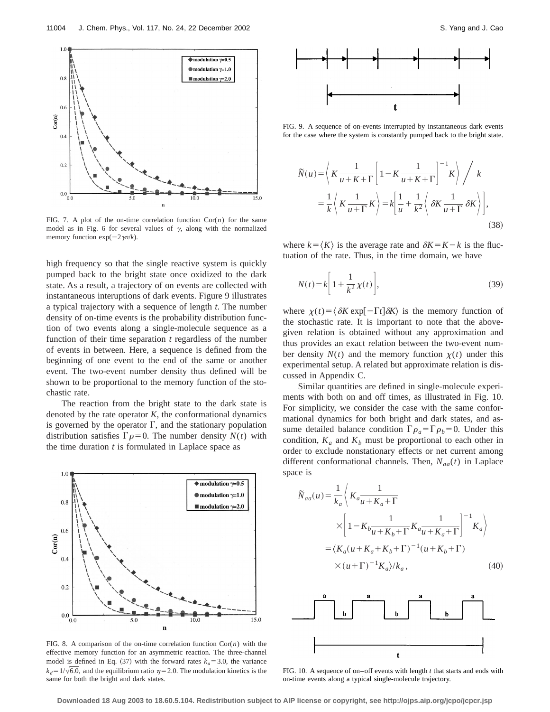

FIG. 7. A plot of the on-time correlation function  $Cor(n)$  for the same model as in Fig. 6 for several values of  $\gamma$ , along with the normalized memory function  $exp(-2\gamma n/k)$ .

high frequency so that the single reactive system is quickly pumped back to the bright state once oxidized to the dark state. As a result, a trajectory of on events are collected with instantaneous interuptions of dark events. Figure 9 illustrates a typical trajectory with a sequence of length *t*. The number density of on-time events is the probability distribution function of two events along a single-molecule sequence as a function of their time separation *t* regardless of the number of events in between. Here, a sequence is defined from the beginning of one event to the end of the same or another event. The two-event number density thus defined will be shown to be proportional to the memory function of the stochastic rate.

The reaction from the bright state to the dark state is denoted by the rate operator *K*, the conformational dynamics is governed by the operator  $\Gamma$ , and the stationary population distribution satisfies  $\Gamma \rho = 0$ . The number density  $N(t)$  with the time duration *t* is formulated in Laplace space as



FIG. 8. A comparison of the on-time correlation function Cor(*n*) with the effective memory function for an asymmetric reaction. The three-channel model is defined in Eq.  $(37)$  with the forward rates  $k_a = 3.0$ , the variance  $k_d=1/\sqrt{6.0}$ , and the equilibrium ratio  $\eta=2.0$ . The modulation kinetics is the same for both the bright and dark states.



FIG. 9. A sequence of on-events interrupted by instantaneous dark events for the case where the system is constantly pumped back to the bright state.

$$
\widetilde{N}(u) = \left\langle K \frac{1}{u + K + \Gamma} \left[ 1 - K \frac{1}{u + K + \Gamma} \right]^{-1} K \right\rangle / k
$$
  
=  $\frac{1}{k} \left\langle K \frac{1}{u + \Gamma} K \right\rangle = k \left[ \frac{1}{u} + \frac{1}{k^2} \left\langle \delta K \frac{1}{u + \Gamma} \delta K \right\rangle \right],$  (38)

where  $k = \langle K \rangle$  is the average rate and  $\delta K = K - k$  is the fluctuation of the rate. Thus, in the time domain, we have

$$
N(t) = k \left[ 1 + \frac{1}{k^2} \chi(t) \right],\tag{39}
$$

where  $\chi(t) = \langle \delta K \exp[-\Gamma t] \delta K \rangle$  is the memory function of the stochastic rate. It is important to note that the abovegiven relation is obtained without any approximation and thus provides an exact relation between the two-event number density  $N(t)$  and the memory function  $\chi(t)$  under this experimental setup. A related but approximate relation is discussed in Appendix C.

Similar quantities are defined in single-molecule experiments with both on and off times, as illustrated in Fig. 10. For simplicity, we consider the case with the same conformational dynamics for both bright and dark states, and assume detailed balance condition  $\Gamma \rho_a = \Gamma \rho_b = 0$ . Under this condition,  $K_a$  and  $K_b$  must be proportional to each other in order to exclude nonstationary effects or net current among different conformational channels. Then,  $N_{aa}(t)$  in Laplace space is

$$
\widetilde{N}_{aa}(u) = \frac{1}{k_a} \left\langle K_a \frac{1}{u + K_a + \Gamma} \right.\n \times \left[ 1 - K_b \frac{1}{u + K_b + \Gamma} K_a \frac{1}{u + K_a + \Gamma} \right]^{-1} K_a \right\rangle
$$
\n
$$
= \left\langle K_a (u + K_a + K_b + \Gamma)^{-1} (u + K_b + \Gamma) \right.
$$
\n
$$
\times (u + \Gamma)^{-1} K_a \rangle / k_a,
$$
\n(40)



FIG. 10. A sequence of on–off events with length *t* that starts and ends with on-time events along a typical single-molecule trajectory.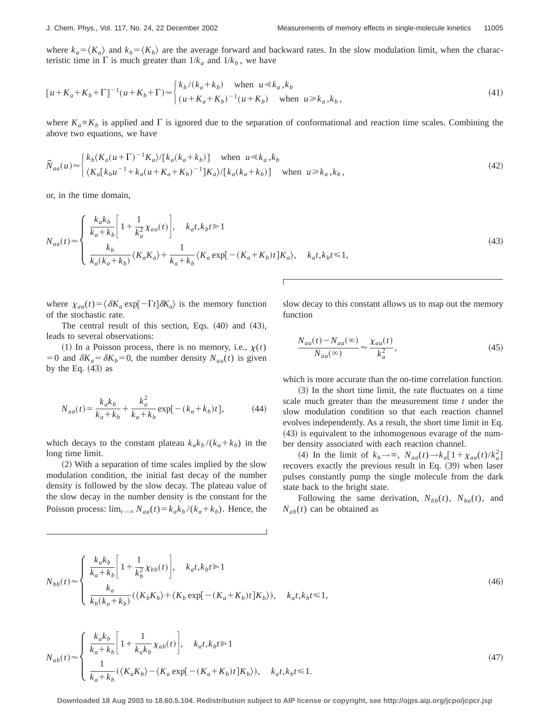where  $k_a = \langle K_a \rangle$  and  $k_b = \langle K_b \rangle$  are the average forward and backward rates. In the slow modulation limit, when the characteristic time in  $\Gamma$  is much greater than  $1/k_a$  and  $1/k_b$ , we have

$$
[u + K_a + K_b + \Gamma]^{-1} (u + K_b + \Gamma) \approx \begin{cases} k_b / (k_a + k_b) & \text{when } u \ll k_a, k_b \\ (u + K_a + K_b)^{-1} (u + K_b) & \text{when } u \ge k_a, k_b, \end{cases}
$$
 (41)

where  $K_a \propto K_b$  is applied and  $\Gamma$  is ignored due to the separation of conformational and reaction time scales. Combining the above two equations, we have

$$
\widetilde{N}_{aa}(u) \approx \begin{cases} k_b \langle K_a(u+\Gamma)^{-1} K_a \rangle / [k_a(k_a+k_b)] & \text{when } u \ll k_a, k_b \\ \langle K_a[k_bu^{-1}+k_a(u+K_a+K_b)^{-1}]K_a \rangle / [k_a(k_a+k_b)] & \text{when } u \ge k_a, k_b, \end{cases}
$$
\n
$$
(42)
$$

or, in the time domain,

$$
N_{aa}(t) \approx \begin{cases} \frac{k_a k_b}{k_a + k_b} \left[ 1 + \frac{1}{k_a^2} \chi_{aa}(t) \right], & k_a t, k_b t \ge 1\\ \frac{k_b}{k_a (k_a + k_b)} \langle K_a K_a \rangle + \frac{1}{k_a + k_b} \langle K_a \exp[-(K_a + K_b)t] K_a \rangle, & k_a t, k_b t \le 1, \end{cases}
$$
(43)

where  $\chi_{aa}(t) = \langle \delta K_a \exp[-\Gamma t] \delta K_a \rangle$  is the memory function of the stochastic rate.

The central result of this section, Eqs.  $(40)$  and  $(43)$ , leads to several observations:

 $(1)$  In a Poisson process, there is no memory, i.e.,  $\chi(t)$ =0 and  $\delta K_a = \delta K_b = 0$ , the number density  $N_{aa}(t)$  is given by the Eq.  $(43)$  as

$$
N_{aa}(t) = \frac{k_a k_b}{k_a + k_b} + \frac{k_a^2}{k_a + k_b} \exp[-(k_a + k_b)t],
$$
 (44)

which decays to the constant plateau  $k_a k_b / (k_a + k_b)$  in the long time limit.

 $(2)$  With a separation of time scales implied by the slow modulation condition, the initial fast decay of the number density is followed by the slow decay. The plateau value of the slow decay in the number density is the constant for the Poisson process:  $\lim_{t\to\infty} N_{aa}(t) = k_a k_b / (k_a + k_b)$ . Hence, the slow decay to this constant allows us to map out the memory function

$$
\frac{N_{aa}(t) - N_{aa}(\infty)}{N_{aa}(\infty)} \approx \frac{\chi_{aa}(t)}{k_a^2},\tag{45}
$$

which is more accurate than the on-time correlation function.

 $(3)$  In the short time limit, the rate fluctuates on a time scale much greater than the measurement time *t* under the slow modulation condition so that each reaction channel evolves independently. As a result, the short time limit in Eq.  $(43)$  is equivalent to the inhomogenous evarage of the number density associated with each reaction channel.

(4) In the limit of  $k_b \rightarrow \infty$ ,  $N_{aa}(t) \rightarrow k_a[1 + \chi_{aa}(t)/k_a^2]$ recovers exactly the previous result in Eq. (39) when laser pulses constantly pump the single molecule from the dark state back to the bright state.

Following the same derivation,  $N_{bb}(t)$ ,  $N_{ba}(t)$ , and  $N_{ab}(t)$  can be obtained as

$$
N_{bb}(t) \approx \begin{cases} \frac{k_a k_b}{k_a + k_b} \Bigg[ 1 + \frac{1}{k_b^2} \chi_{bb}(t) \Bigg], & k_a t, k_b t \ge 1\\ \frac{k_a}{k_b (k_a + k_b)} (\langle K_b K_b \rangle + \langle K_b \exp[-(K_a + K_b)t] K_b \rangle), & k_a t, k_b t \le 1, \end{cases}
$$
(46)

$$
N_{ab}(t) \approx \begin{cases} \frac{k_a k_b}{k_a + k_b} \left[ 1 + \frac{1}{k_a k_b} \chi_{ab}(t) \right], & k_a t, k_b t \ge 1\\ \frac{1}{k_a + k_b} (\langle K_a K_b \rangle - \langle K_a \exp[-(K_a + K_b)t] K_b \rangle), & k_a t, k_b t \le 1. \end{cases}
$$
(47)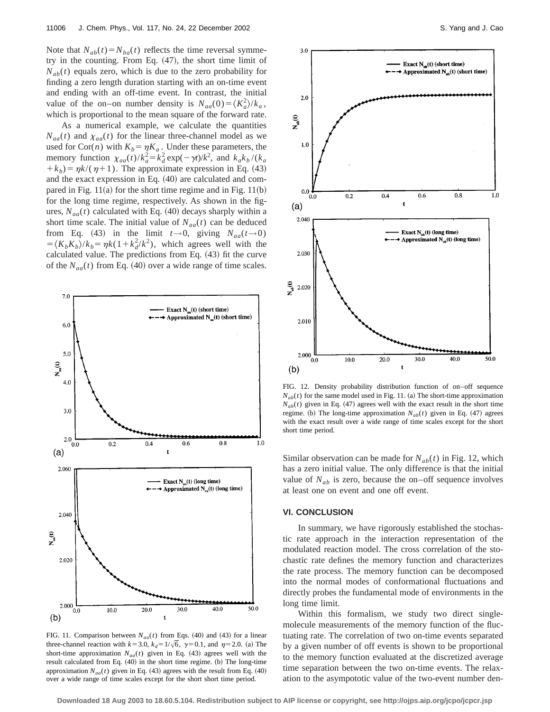Note that  $N_{ab}(t) = N_{ba}(t)$  reflects the time reversal symmetry in the counting. From Eq.  $(47)$ , the short time limit of  $N_{ab}(t)$  equals zero, which is due to the zero probability for finding a zero length duration starting with an on-time event and ending with an off-time event. In contrast, the initial value of the on–on number density is  $N_{aa}(0) = \langle K_a^2 \rangle / k_a$ , which is proportional to the mean square of the forward rate.

As a numerical example, we calculate the quantities  $N_{aa}(t)$  and  $\chi_{aa}(t)$  for the linear three-channel model as we used for Cor(*n*) with  $K_b = \eta K_a$ . Under these parameters, the memory function  $\chi_{aa}(t)/k_a^2 = k_d^2 \exp(-\gamma t)/k^2$ , and  $k_a k_b/(k_a)$  $+k_b$ ) =  $\eta k/(\eta+1)$ . The approximate expression in Eq. (43) and the exact expression in Eq.  $(40)$  are calculated and compared in Fig.  $11(a)$  for the short time regime and in Fig.  $11(b)$ for the long time regime, respectively. As shown in the figures,  $N_{aa}(t)$  calculated with Eq. (40) decays sharply within a short time scale. The initial value of  $N_{aa}(t)$  can be deduced from Eq. (43) in the limit  $t \rightarrow 0$ , giving  $N_{aa}(t \rightarrow 0)$  $=$  $\langle K_b K_b \rangle / k_b = \eta k(1 + k_d^2 / k^2)$ , which agrees well with the calculated value. The predictions from Eq.  $(43)$  fit the curve of the  $N_{aa}(t)$  from Eq. (40) over a wide range of time scales.



FIG. 11. Comparison between  $N_{aa}(t)$  from Eqs. (40) and (43) for a linear three-channel reaction with  $k=3.0$ ,  $k_d=1/\sqrt{6}$ ,  $\gamma=0.1$ , and  $\eta=2.0$ . (a) The short-time approximation  $N_{aa}(t)$  given in Eq. (43) agrees well with the result calculated from Eq. (40) in the short time regime. (b) The long-time approximation  $N_{aa}(t)$  given in Eq. (43) agrees with the result from Eq. (40) over a wide range of time scales except for the short short time period.



FIG. 12. Density probability distribution function of on–off sequence  $N_{ab}(t)$  for the same model used in Fig. 11. (a) The short-time approximation  $N_{ab}(t)$  given in Eq. (47) agrees well with the exact result in the short time regime. (b) The long-time approximation  $N_{ab}(t)$  given in Eq. (47) agrees with the exact result over a wide range of time scales except for the short short time period.

Similar observation can be made for  $N_{ab}(t)$  in Fig. 12, which has a zero initial value. The only difference is that the initial value of  $N_{ab}$  is zero, because the on–off sequence involves at least one on event and one off event.

#### **VI. CONCLUSION**

In summary, we have rigorously established the stochastic rate approach in the interaction representation of the modulated reaction model. The cross correlation of the stochastic rate defines the memory function and characterizes the rate process. The memory function can be decomposed into the normal modes of conformational fluctuations and directly probes the fundamental mode of environments in the long time limit.

Within this formalism, we study two direct singlemolecule measurements of the memory function of the fluctuating rate. The correlation of two on-time events separated by a given number of off events is shown to be proportional to the memory function evaluated at the discretized average time separation between the two on-time events. The relaxation to the asympototic value of the two-event number den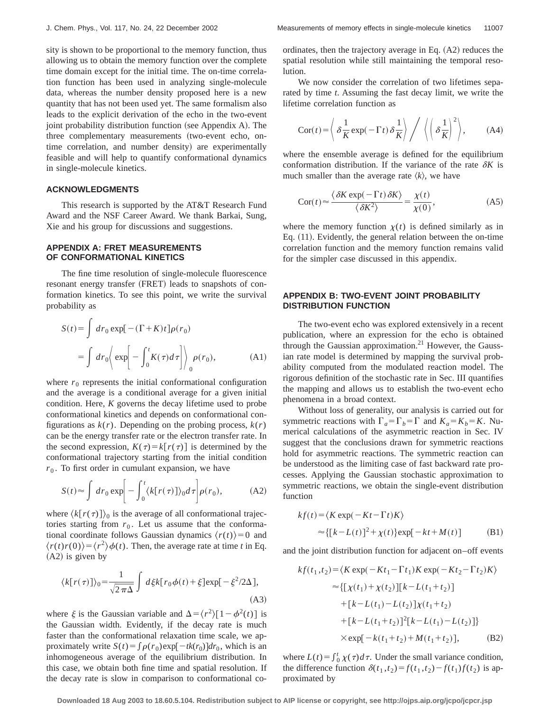sity is shown to be proportional to the memory function, thus allowing us to obtain the memory function over the complete time domain except for the initial time. The on-time correlation function has been used in analyzing single-molecule data, whereas the number density proposed here is a new quantity that has not been used yet. The same formalism also leads to the explicit derivation of the echo in the two-event joint probability distribution function (see Appendix A). The three complementary measurements (two-event echo, ontime correlation, and number density) are experimentally feasible and will help to quantify conformational dynamics in single-molecule kinetics.

## **ACKNOWLEDGMENTS**

This research is supported by the AT&T Research Fund Award and the NSF Career Award. We thank Barkai, Sung, Xie and his group for discussions and suggestions.

## **APPENDIX A: FRET MEASUREMENTS OF CONFORMATIONAL KINETICS**

The fine time resolution of single-molecule fluorescence resonant energy transfer (FRET) leads to snapshots of conformation kinetics. To see this point, we write the survival probability as

$$
S(t) = \int dr_0 \exp[-(\Gamma + K)t] \rho(r_0)
$$
  
= 
$$
\int dr_0 \left\langle \exp\left[-\int_0^t K(\tau) d\tau \right] \right\rangle_0 \rho(r_0),
$$
 (A1)

where  $r_0$  represents the initial conformational configuration and the average is a conditional average for a given initial condition. Here, *K* governs the decay lifetime used to probe conformational kinetics and depends on conformational configurations as  $k(r)$ . Depending on the probing process,  $k(r)$ can be the energy transfer rate or the electron transfer rate. In the second expression,  $K(\tau) = k[r(\tau)]$  is determined by the conformational trajectory starting from the initial condition  $r<sub>0</sub>$ . To first order in cumulant expansion, we have

$$
S(t) \approx \int dr_0 \exp\left[-\int_0^t \langle k[r(\tau)]\rangle_0 d\tau\right] \rho(r_0),\tag{A2}
$$

where  $\langle k[r(\tau)]\rangle_0$  is the average of all conformational trajectories starting from  $r_0$ . Let us assume that the conformational coordinate follows Gaussian dynamics  $\langle r(t) \rangle = 0$  and  $\langle r(t)r(0)\rangle = \langle r^2 \rangle \phi(t)$ . Then, the average rate at time *t* in Eq.  $(A2)$  is given by

$$
\langle k[r(\tau)]\rangle_0 = \frac{1}{\sqrt{2\pi\Delta}} \int d\xi k[r_0\phi(t) + \xi] \exp[-\xi^2/2\Delta],
$$
\n(A3)

where  $\xi$  is the Gaussian variable and  $\Delta = \langle r^2 \rangle [1 - \phi^2(t)]$  is the Gaussian width. Evidently, if the decay rate is much faster than the conformational relaxation time scale, we approximately write  $S(t) = \int \rho(r_0) \exp[-tk(r_0)] dr_0$ , which is an inhomogeneous average of the equilibrium distribution. In this case, we obtain both fine time and spatial resolution. If the decay rate is slow in comparison to conformational coordinates, then the trajectory average in Eq.  $(A2)$  reduces the spatial resolution while still maintaining the temporal resolution.

We now consider the correlation of two lifetimes separated by time *t*. Assuming the fast decay limit, we write the lifetime correlation function as

$$
\operatorname{Cor}(t) = \left\langle \delta \frac{1}{K} \exp(-\Gamma t) \delta \frac{1}{K} \right\rangle / \left\langle \left( \delta \frac{1}{K} \right)^2 \right\rangle, \tag{A4}
$$

where the ensemble average is defined for the equilibrium conformation distribution. If the variance of the rate  $\delta K$  is much smaller than the average rate  $\langle k \rangle$ , we have

$$
\operatorname{Cor}(t) \approx \frac{\langle \delta K \exp(-\Gamma t) \, \delta K \rangle}{\langle \delta K^2 \rangle} = \frac{\chi(t)}{\chi(0)},\tag{A5}
$$

where the memory function  $\chi(t)$  is defined similarly as in Eq.  $(11)$ . Evidently, the general relation between the on-time correlation function and the memory function remains valid for the simpler case discussed in this appendix.

# **APPENDIX B: TWO-EVENT JOINT PROBABILITY DISTRIBUTION FUNCTION**

The two-event echo was explored extensively in a recent publication, where an expression for the echo is obtained through the Gaussian approximation. $21$  However, the Gaussian rate model is determined by mapping the survival probability computed from the modulated reaction model. The rigorous definition of the stochastic rate in Sec. III quantifies the mapping and allows us to establish the two-event echo phenomena in a broad context.

Without loss of generality, our analysis is carried out for symmetric reactions with  $\Gamma_a = \Gamma_b = \Gamma$  and  $K_a = K_b = K$ . Numerical calculations of the asymmetric reaction in Sec. IV suggest that the conclusions drawn for symmetric reactions hold for asymmetric reactions. The symmetric reaction can be understood as the limiting case of fast backward rate processes. Applying the Gaussian stochastic approximation to symmetric reactions, we obtain the single-event distribution function

$$
kf(t) = \langle K \exp(-Kt - \Gamma t)K \rangle
$$
  
\n
$$
\approx \{ [k - L(t)]^2 + \chi(t) \} \exp[-kt + M(t)]
$$
 (B1)

and the joint distribution function for adjacent on–off events

$$
kf(t_1, t_2) = \langle K \exp(-Kt_1 - \Gamma t_1)K \exp(-Kt_2 - \Gamma t_2)K \rangle
$$
  
\n
$$
\approx \{[\chi(t_1) + \chi(t_2)][k - L(t_1 + t_2)] + [k - L(t_1) - L(t_2)]\chi(t_1 + t_2) + [k - L(t_1 + t_2)]^2[k - L(t_1) - L(t_2)]\}
$$
  
\n
$$
\times \exp[-k(t_1 + t_2) + M(t_1 + t_2)], \quad (B2)
$$

where  $L(t) = \int_0^t \chi(\tau) d\tau$ . Under the small variance condition, the difference function  $\delta(t_1, t_2) = f(t_1, t_2) - f(t_1) f(t_2)$  is approximated by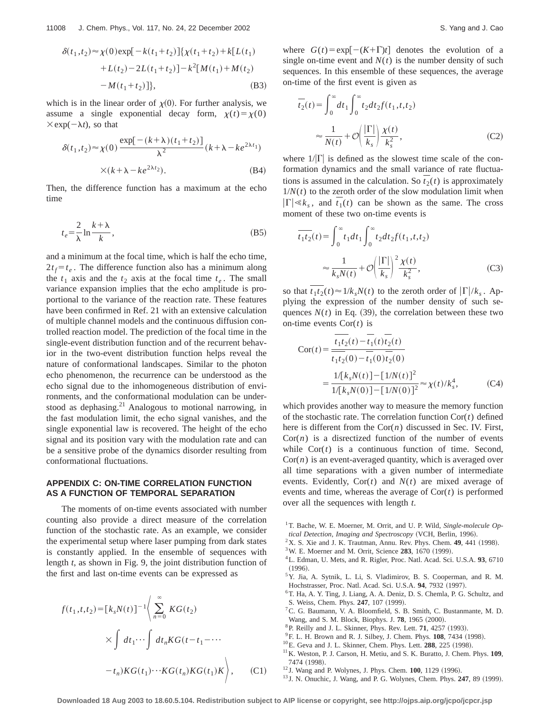$$
\delta(t_1, t_2) \approx \chi(0) \exp[-k(t_1 + t_2)] \{ \chi(t_1 + t_2) + k[L(t_1) + L(t_2) - 2L(t_1 + t_2)] - k^2[M(t_1) + M(t_2) - M(t_1 + t_2)] \},
$$
\n(B3)

which is in the linear order of  $\chi(0)$ . For further analysis, we assume a single exponential decay form,  $\chi(t) = \chi(0)$  $\times$ exp( $-\lambda t$ ), so that

$$
\delta(t_1, t_2) \approx \chi(0) \frac{\exp[-(k+\lambda)(t_1+t_2)]}{\lambda^2} (k+\lambda - ke^{2\lambda t_1})
$$
  
×(k+\lambda - ke^{2\lambda t\_2}). (B4)

Then, the difference function has a maximum at the echo time

$$
t_e = \frac{2}{\lambda} \ln \frac{k + \lambda}{k},\tag{B5}
$$

and a minimum at the focal time, which is half the echo time,  $2t_f = t_e$ . The difference function also has a minimum along the  $t_1$  axis and the  $t_2$  axis at the focal time  $t_e$ . The small variance expansion implies that the echo amplitude is proportional to the variance of the reaction rate. These features have been confirmed in Ref. 21 with an extensive calculation of multiple channel models and the continuous diffusion controlled reaction model. The prediction of the focal time in the single-event distribution function and of the recurrent behavior in the two-event distribution function helps reveal the nature of conformational landscapes. Similar to the photon echo phenomenon, the recurrence can be understood as the echo signal due to the inhomogeneous distribution of environments, and the conformational modulation can be understood as dephasing.21 Analogous to motional narrowing, in the fast modulation limit, the echo signal vanishes, and the single exponential law is recovered. The height of the echo signal and its position vary with the modulation rate and can be a sensitive probe of the dynamics disorder resulting from conformational fluctuations.

# **APPENDIX C: ON-TIME CORRELATION FUNCTION AS A FUNCTION OF TEMPORAL SEPARATION**

The moments of on-time events associated with number counting also provide a direct measure of the correlation function of the stochastic rate. As an example, we consider the experimental setup where laser pumping from dark states is constantly applied. In the ensemble of sequences with length *t*, as shown in Fig. 9, the joint distribution function of the first and last on-time events can be expressed as

$$
f(t_1, t, t_2) = [k_s N(t)]^{-1} \Bigg\langle \sum_{n=0}^{\infty} K G(t_2)
$$
  
 
$$
\times \int dt_1 \cdots \int dt_n K G(t - t_1 - \cdots
$$
  
 
$$
-t_n) K G(t_1) \cdots K G(t_n) K G(t_1) K \Bigg\rangle, \qquad (C1)
$$

where  $G(t) = \exp[-(K+\Gamma)t]$  denotes the evolution of a single on-time event and  $N(t)$  is the number density of such sequences. In this ensemble of these sequences, the average on-time of the first event is given as

$$
\overline{t_2}(t) = \int_0^\infty dt_1 \int_0^\infty t_2 dt_2 f(t_1, t, t_2)
$$
\n
$$
\approx \frac{1}{N(t)} + \mathcal{O}\left(\frac{|\Gamma|}{k_s}\right) \frac{\chi(t)}{k_s^2},\tag{C2}
$$

where  $1/|\Gamma|$  is defined as the slowest time scale of the conformation dynamics and the small variance of rate fluctuations is assumed in the calculation. So  $t_2(t)$  is approximately  $1/N(t)$  to the zeroth order of the slow modulation limit when  $|\Gamma| \ll k_s$ , and  $t_1(t)$  can be shown as the same. The cross moment of these two on-time events is

$$
\overline{t_1 t_2}(t) = \int_0^\infty t_1 dt_1 \int_0^\infty t_2 dt_2 f(t_1, t, t_2)
$$

$$
\approx \frac{1}{k_s N(t)} + \mathcal{O}\left(\frac{|\Gamma|}{k_s}\right)^2 \frac{\chi(t)}{k_s^2},\tag{C3}
$$

so that  $t_1t_2(t) \approx 1/k_sN(t)$  to the zeroth order of  $|\Gamma|/k_s$ . Applying the expression of the number density of such sequences  $N(t)$  in Eq. (39), the correlation between these two on-time events Cor(*t*) is

$$
Cor(t) = \frac{\overline{t_1 t_2}(t) - \overline{t_1}(t)\overline{t_2}(t)}{t_1 t_2(0) - \overline{t_1}(0)\overline{t_2}(0)}
$$
  
= 
$$
\frac{1/[k_s N(t)] - [1/N(t)]^2}{1/[k_s N(0)] - [1/N(0)]^2} \approx \chi(t)/k_s^4,
$$
 (C4)

which provides another way to measure the memory function of the stochastic rate. The correlation function Cor(*t*) defined here is different from the  $Cor(n)$  discussed in Sec. IV. First,  $Cor(n)$  is a disrectized function of the number of events while  $Cor(t)$  is a continuous function of time. Second,  $Cor(n)$  is an event-averaged quantity, which is averaged over all time separations with a given number of intermediate events. Evidently,  $Cor(t)$  and  $N(t)$  are mixed average of events and time, whereas the average of  $Cor(t)$  is performed over all the sequences with length *t*.

- <sup>1</sup>T. Bache, W. E. Moerner, M. Orrit, and U. P. Wild, *Single-molecule Op-*
- *tical Detection, Imaging and Spectroscopy* (VCH, Berlin, 1996).  $2$ X. S. Xie and J. K. Trautman, Annu. Rev. Phys. Chem.  $49$ ,  $441$  (1998).
- <sup>3</sup>W. E. Moerner and M. Orrit, Science 283, 1670 (1999).
- 
- 4L. Edman, U. Mets, and R. Rigler, Proc. Natl. Acad. Sci. U.S.A. **93**, 6710  $(1996).$
- 5Y. Jia, A. Sytnik, L. Li, S. Vladimirov, B. S. Cooperman, and R. M. Hochstrasser, Proc. Natl. Acad. Sci. U.S.A. 94, 7932 (1997).
- 6T. Ha, A. Y. Ting, J. Liang, A. A. Deniz, D. S. Chemla, P. G. Schultz, and S. Weiss, Chem. Phys. 247, 107 (1999).
- 7C. G. Baumann, V. A. Bloomfield, S. B. Smith, C. Bustanmante, M. D. Wang, and S. M. Block, Biophys. J. 78, 1965 (2000).
- <sup>8</sup> P. Reilly and J. L. Skinner, Phys. Rev. Lett. **71**, 4257 (1993).
- <sup>9</sup>F. L. H. Brown and R. J. Silbey, J. Chem. Phys. **108**, 7434 (1998).
- $10E$ . Geva and J. L. Skinner, Chem. Phys. Lett. **288**, 225 (1998).
- <sup>11</sup>K. Weston, P. J. Carson, H. Metiu, and S. K. Buratto, J. Chem. Phys. **109**, 7474 (1998).
- <sup>12</sup> J. Wang and P. Wolynes, J. Phys. Chem. **100**, 1129 (1996).
- $13$  J. N. Onuchic, J. Wang, and P. G. Wolynes, Chem. Phys. **247**, 89 (1999).